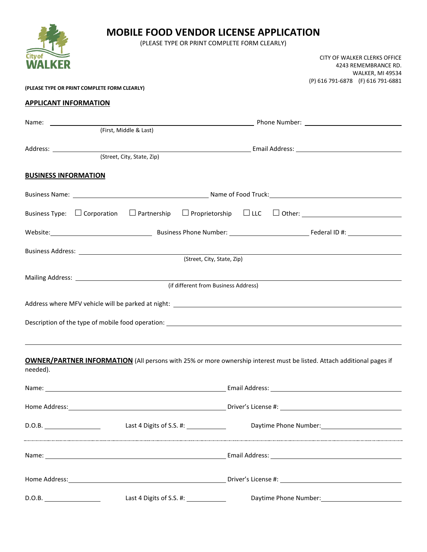|                                                                                                                                                                                                                                |  | <b>MOBILE FOOD VENDOR LICENSE APPLICATION</b><br>(PLEASE TYPE OR PRINT COMPLETE FORM CLEARLY) |  |  |                                                                                 |  |  |
|--------------------------------------------------------------------------------------------------------------------------------------------------------------------------------------------------------------------------------|--|-----------------------------------------------------------------------------------------------|--|--|---------------------------------------------------------------------------------|--|--|
| Citv of                                                                                                                                                                                                                        |  |                                                                                               |  |  | CITY OF WALKER CLERKS OFFICE<br>4243 REMEMBRANCE RD.<br><b>WALKER, MI 49534</b> |  |  |
| (PLEASE TYPE OR PRINT COMPLETE FORM CLEARLY)                                                                                                                                                                                   |  |                                                                                               |  |  | (P) 616 791-6878 (F) 616 791-6881                                               |  |  |
| <b>APPLICANT INFORMATION</b>                                                                                                                                                                                                   |  |                                                                                               |  |  |                                                                                 |  |  |
|                                                                                                                                                                                                                                |  |                                                                                               |  |  |                                                                                 |  |  |
| (First, Middle & Last)                                                                                                                                                                                                         |  |                                                                                               |  |  |                                                                                 |  |  |
|                                                                                                                                                                                                                                |  |                                                                                               |  |  |                                                                                 |  |  |
| (Street, City, State, Zip)                                                                                                                                                                                                     |  |                                                                                               |  |  |                                                                                 |  |  |
| <b>BUSINESS INFORMATION</b>                                                                                                                                                                                                    |  |                                                                                               |  |  |                                                                                 |  |  |
|                                                                                                                                                                                                                                |  |                                                                                               |  |  |                                                                                 |  |  |
| Business Type: $\Box$ Corporation $\Box$ Partnership $\Box$ Proprietorship $\Box$ LLC $\Box$ Other:                                                                                                                            |  |                                                                                               |  |  |                                                                                 |  |  |
| Website: Mobel Communication of the Communication of the Business Phone Number: Manufacture Communication Federal ID #:                                                                                                        |  |                                                                                               |  |  |                                                                                 |  |  |
|                                                                                                                                                                                                                                |  | (Street, City, State, Zip)                                                                    |  |  |                                                                                 |  |  |
|                                                                                                                                                                                                                                |  |                                                                                               |  |  |                                                                                 |  |  |
|                                                                                                                                                                                                                                |  | (if different from Business Address)                                                          |  |  |                                                                                 |  |  |
| Address where MFV vehicle will be parked at night: Analyzian and the state of the state of the state of the state of the state of the state of the state of the state of the state of the state of the state of the state of t |  |                                                                                               |  |  |                                                                                 |  |  |
| Description of the type of mobile food operation: Description of the type of mobile food operation:                                                                                                                            |  |                                                                                               |  |  |                                                                                 |  |  |
|                                                                                                                                                                                                                                |  |                                                                                               |  |  |                                                                                 |  |  |
| OWNER/PARTNER INFORMATION (All persons with 25% or more ownership interest must be listed. Attach additional pages if<br>needed).                                                                                              |  |                                                                                               |  |  |                                                                                 |  |  |
|                                                                                                                                                                                                                                |  |                                                                                               |  |  |                                                                                 |  |  |
|                                                                                                                                                                                                                                |  |                                                                                               |  |  |                                                                                 |  |  |
| D.O.B. 1990 CO.B. 1990 CO.B. Last 4 Digits of S.S. #: 1990 CO.B. 2001 CO.B. 2001 CO.B. 2001 CO.B. 2001 CO.B. 2001 CO.B. 2001 CO.B. 2001 CO.B. 2001 CO.B. 2002 CO.B. 2002 CO.B. 2002 CO.B. 2002 CO.B. 2002 CO.B. 2002 CO.B. 200 |  |                                                                                               |  |  |                                                                                 |  |  |
|                                                                                                                                                                                                                                |  |                                                                                               |  |  |                                                                                 |  |  |
|                                                                                                                                                                                                                                |  |                                                                                               |  |  |                                                                                 |  |  |
|                                                                                                                                                                                                                                |  |                                                                                               |  |  | Daytime Phone Number: 1997                                                      |  |  |